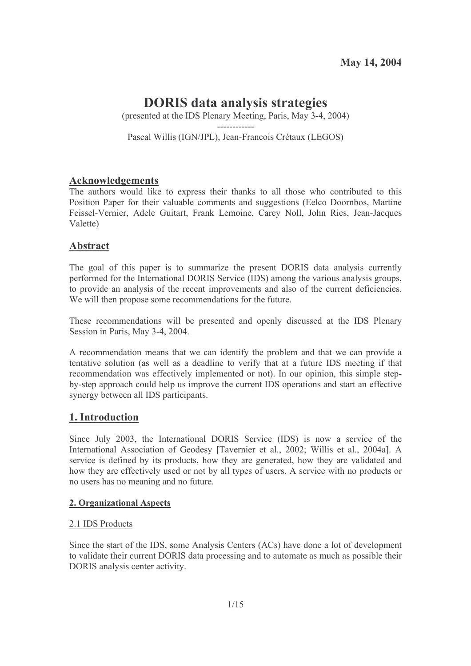# **DORIS** data analysis strategies

(presented at the IDS Plenary Meeting, Paris, May 3-4, 2004)

Pascal Willis (IGN/JPL), Jean-Francois Crétaux (LEGOS)

# **Acknowledgements**

The authors would like to express their thanks to all those who contributed to this Position Paper for their valuable comments and suggestions (Eelco Doornbos, Martine Feissel-Vernier, Adele Guitart, Frank Lemoine, Carey Noll, John Ries, Jean-Jacques Valette)

# **Abstract**

The goal of this paper is to summarize the present DORIS data analysis currently performed for the International DORIS Service (IDS) among the various analysis groups, to provide an analysis of the recent improvements and also of the current deficiencies. We will then propose some recommendations for the future.

These recommendations will be presented and openly discussed at the IDS Plenary Session in Paris, May 3-4, 2004.

A recommendation means that we can identify the problem and that we can provide a tentative solution (as well as a deadline to verify that at a future IDS meeting if that recommendation was effectively implemented or not). In our opinion, this simple stepby-step approach could help us improve the current IDS operations and start an effective synergy between all IDS participants.

# 1. Introduction

Since July 2003, the International DORIS Service (IDS) is now a service of the International Association of Geodesy [Tavernier et al., 2002; Willis et al., 2004a]. A service is defined by its products, how they are generated, how they are validated and how they are effectively used or not by all types of users. A service with no products or no users has no meaning and no future.

# 2. Organizational Aspects

# 2.1 IDS Products

Since the start of the IDS, some Analysis Centers (ACs) have done a lot of development to validate their current DORIS data processing and to automate as much as possible their DORIS analysis center activity.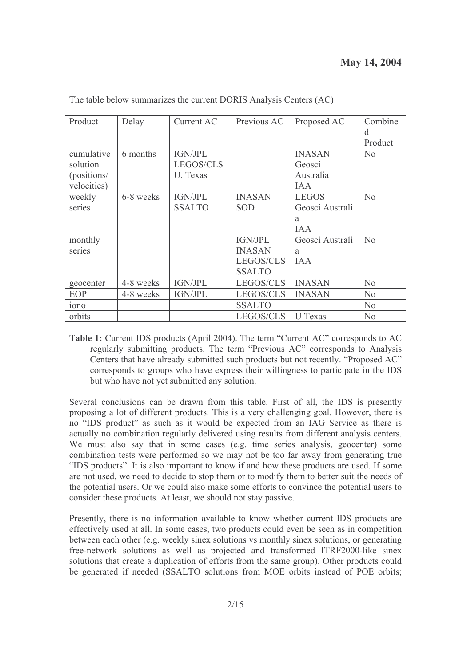| Product           | Delay     | Current AC       | Previous AC   | Proposed AC     | Combine        |
|-------------------|-----------|------------------|---------------|-----------------|----------------|
|                   |           |                  |               |                 | d              |
|                   |           |                  |               |                 | Product        |
| cumulative        | 6 months  | IGN/JPL          |               | <b>INASAN</b>   | No             |
| solution          |           | <b>LEGOS/CLS</b> |               | Geosci          |                |
| (positions/       |           | U. Texas         |               | Australia       |                |
| velocities)       |           |                  |               | <b>IAA</b>      |                |
| weekly            | 6-8 weeks | <b>IGN/JPL</b>   | <b>INASAN</b> | <b>LEGOS</b>    | No             |
| series            |           | <b>SSALTO</b>    | <b>SOD</b>    | Geosci Australi |                |
|                   |           |                  |               | a               |                |
|                   |           |                  |               | IAA             |                |
| monthly           |           |                  | IGN/JPL       | Geosci Australi | No             |
| series            |           |                  | <b>INASAN</b> | a               |                |
|                   |           |                  | LEGOS/CLS     | <b>IAA</b>      |                |
|                   |           |                  | <b>SSALTO</b> |                 |                |
| geocenter         | 4-8 weeks | <b>IGN/JPL</b>   | LEGOS/CLS     | <b>INASAN</b>   | N <sub>0</sub> |
| EOP               | 4-8 weeks | <b>IGN/JPL</b>   | LEGOS/CLS     | <b>INASAN</b>   | No             |
| 10 <sub>n</sub> o |           |                  | <b>SSALTO</b> |                 | N <sub>0</sub> |
| orbits            |           |                  | LEGOS/CLS     | <b>U</b> Texas  | N <sub>0</sub> |

The table below summarizes the current DORIS Analysis Centers (AC)

Table 1: Current IDS products (April 2004). The term "Current AC" corresponds to AC regularly submitting products. The term "Previous AC" corresponds to Analysis Centers that have already submitted such products but not recently. "Proposed AC" corresponds to groups who have express their willingness to participate in the IDS but who have not yet submitted any solution.

Several conclusions can be drawn from this table. First of all, the IDS is presently proposing a lot of different products. This is a very challenging goal. However, there is no "IDS product" as such as it would be expected from an IAG Service as there is actually no combination regularly delivered using results from different analysis centers. We must also say that in some cases (e.g. time series analysis, geocenter) some combination tests were performed so we may not be too far away from generating true "IDS products". It is also important to know if and how these products are used. If some are not used, we need to decide to stop them or to modify them to better suit the needs of the potential users. Or we could also make some efforts to convince the potential users to consider these products. At least, we should not stay passive.

Presently, there is no information available to know whether current IDS products are effectively used at all. In some cases, two products could even be seen as in competition between each other (e.g. weekly sinex solutions vs monthly sinex solutions, or generating free-network solutions as well as projected and transformed ITRF2000-like sinex solutions that create a duplication of efforts from the same group). Other products could be generated if needed (SSALTO solutions from MOE orbits instead of POE orbits;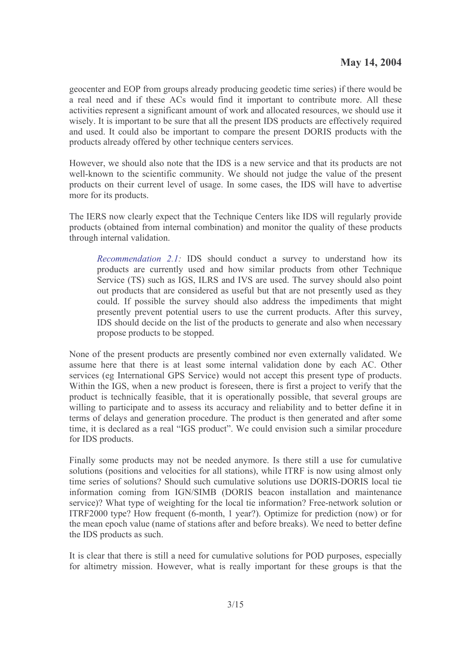geocenter and EOP from groups already producing geodetic time series) if there would be a real need and if these ACs would find it important to contribute more. All these activities represent a significant amount of work and allocated resources, we should use it wisely. It is important to be sure that all the present IDS products are effectively required and used. It could also be important to compare the present DORIS products with the products already offered by other technique centers services.

However, we should also note that the IDS is a new service and that its products are not well-known to the scientific community. We should not judge the value of the present products on their current level of usage. In some cases, the IDS will have to advertise more for its products.

The IERS now clearly expect that the Technique Centers like IDS will regularly provide products (obtained from internal combination) and monitor the quality of these products through internal validation.

*Recommendation 2.1:* IDS should conduct a survey to understand how its products are currently used and how similar products from other Technique Service (TS) such as IGS, ILRS and IVS are used. The survey should also point out products that are considered as useful but that are not presently used as they could. If possible the survey should also address the impediments that might presently prevent potential users to use the current products. After this survey, IDS should decide on the list of the products to generate and also when necessary propose products to be stopped.

None of the present products are presently combined nor even externally validated. We assume here that there is at least some internal validation done by each AC. Other services (eg International GPS Service) would not accept this present type of products. Within the IGS, when a new product is foreseen, there is first a project to verify that the product is technically feasible, that it is operationally possible, that several groups are willing to participate and to assess its accuracy and reliability and to better define it in terms of delays and generation procedure. The product is then generated and after some time, it is declared as a real "IGS product". We could envision such a similar procedure for IDS products.

Finally some products may not be needed anymore. Is there still a use for cumulative solutions (positions and velocities for all stations), while ITRF is now using almost only time series of solutions? Should such cumulative solutions use DORIS-DORIS local tie information coming from IGN/SIMB (DORIS beacon installation and maintenance service)? What type of weighting for the local tie information? Free-network solution or ITRF2000 type? How frequent (6-month, 1 year?). Optimize for prediction (now) or for the mean epoch value (name of stations after and before breaks). We need to better define the IDS products as such.

It is clear that there is still a need for cumulative solutions for POD purposes, especially for altimetry mission. However, what is really important for these groups is that the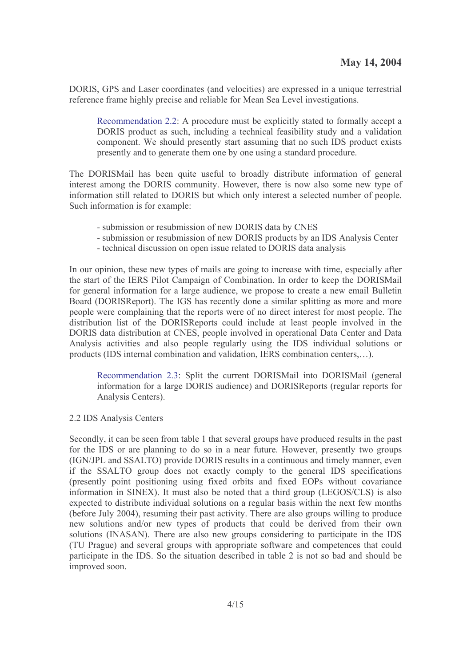DORIS, GPS and Laser coordinates (and velocities) are expressed in a unique terrestrial reference frame highly precise and reliable for Mean Sea Level investigations.

Recommendation 2.2: A procedure must be explicitly stated to formally accept a DORIS product as such, including a technical feasibility study and a validation component. We should presently start assuming that no such IDS product exists presently and to generate them one by one using a standard procedure.

The DORISMail has been quite useful to broadly distribute information of general interest among the DORIS community. However, there is now also some new type of information still related to DORIS but which only interest a selected number of people. Such information is for example:

- submission or resubmission of new DORIS data by CNES
- submission or resubmission of new DORIS products by an IDS Analysis Center
- technical discussion on open issue related to DORIS data analysis

In our opinion, these new types of mails are going to increase with time, especially after the start of the IERS Pilot Campaign of Combination. In order to keep the DORISMail for general information for a large audience, we propose to create a new email Bulletin Board (DORISReport). The IGS has recently done a similar splitting as more and more people were complaining that the reports were of no direct interest for most people. The distribution list of the DORISReports could include at least people involved in the DORIS data distribution at CNES, people involved in operational Data Center and Data Analysis activities and also people regularly using the IDS individual solutions or products (IDS internal combination and validation, IERS combination centers,...).

Recommendation 2.3: Split the current DORISMail into DORISMail (general information for a large DORIS audience) and DORISReports (regular reports for Analysis Centers).

#### 2.2 IDS Analysis Centers

Secondly, it can be seen from table 1 that several groups have produced results in the past for the IDS or are planning to do so in a near future. However, presently two groups (IGN/JPL and SSALTO) provide DORIS results in a continuous and timely manner, even if the SSALTO group does not exactly comply to the general IDS specifications (presently point positioning using fixed orbits and fixed EOPs without covariance information in SINEX). It must also be noted that a third group (LEGOS/CLS) is also expected to distribute individual solutions on a regular basis within the next few months (before July 2004), resuming their past activity. There are also groups willing to produce new solutions and/or new types of products that could be derived from their own solutions (INASAN). There are also new groups considering to participate in the IDS (TU Prague) and several groups with appropriate software and competences that could participate in the IDS. So the situation described in table 2 is not so bad and should be improved soon.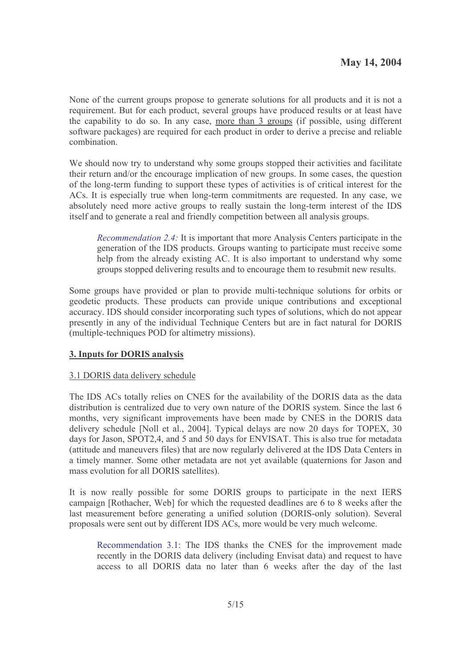None of the current groups propose to generate solutions for all products and it is not a requirement. But for each product, several groups have produced results or at least have the capability to do so. In any case, more than 3 groups (if possible, using different software packages) are required for each product in order to derive a precise and reliable combination.

We should now try to understand why some groups stopped their activities and facilitate their return and/or the encourage implication of new groups. In some cases, the question of the long-term funding to support these types of activities is of critical interest for the ACs. It is especially true when long-term commitments are requested. In any case, we absolutely need more active groups to really sustain the long-term interest of the IDS itself and to generate a real and friendly competition between all analysis groups.

*Recommendation 2.4:* It is important that more Analysis Centers participate in the generation of the IDS products. Groups wanting to participate must receive some help from the already existing AC. It is also important to understand why some groups stopped delivering results and to encourage them to resubmit new results.

Some groups have provided or plan to provide multi-technique solutions for orbits or geodetic products. These products can provide unique contributions and exceptional accuracy. IDS should consider incorporating such types of solutions, which do not appear presently in any of the individual Technique Centers but are in fact natural for DORIS (multiple-techniques POD for altimetry missions).

# 3. Inputs for DORIS analysis

# 3.1 DORIS data delivery schedule

The IDS ACs totally relies on CNES for the availability of the DORIS data as the data distribution is centralized due to very own nature of the DORIS system. Since the last 6 months, very significant improvements have been made by CNES in the DORIS data delivery schedule [Noll et al., 2004]. Typical delays are now 20 days for TOPEX, 30 days for Jason, SPOT2.4, and 5 and 50 days for ENVISAT. This is also true for metadata (attitude and maneuvers files) that are now regularly delivered at the IDS Data Centers in a timely manner. Some other metadata are not yet available (quaternions for Jason and mass evolution for all DORIS satellites).

It is now really possible for some DORIS groups to participate in the next IERS campaign [Rothacher, Web] for which the requested deadlines are 6 to 8 weeks after the last measurement before generating a unified solution (DORIS-only solution). Several proposals were sent out by different IDS ACs, more would be very much welcome.

Recommendation 3.1: The IDS thanks the CNES for the improvement made recently in the DORIS data delivery (including Envisat data) and request to have access to all DORIS data no later than 6 weeks after the day of the last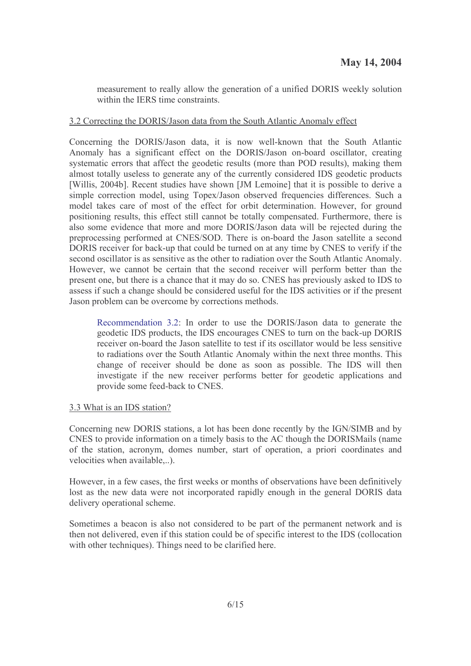measurement to really allow the generation of a unified DORIS weekly solution within the IERS time constraints.

# 3.2 Correcting the DORIS/Jason data from the South Atlantic Anomaly effect

Concerning the DORIS/Jason data, it is now well-known that the South Atlantic Anomaly has a significant effect on the DORIS/Jason on-board oscillator, creating systematic errors that affect the geodetic results (more than POD results), making them almost totally useless to generate any of the currently considered IDS geodetic products [Willis, 2004b]. Recent studies have shown [JM Lemoine] that it is possible to derive a simple correction model, using Topex/Jason observed frequencies differences. Such a model takes care of most of the effect for orbit determination. However, for ground positioning results, this effect still cannot be totally compensated. Furthermore, there is also some evidence that more and more DORIS/Jason data will be rejected during the preprocessing performed at CNES/SOD. There is on-board the Jason satellite a second DORIS receiver for back-up that could be turned on at any time by CNES to verify if the second oscillator is as sensitive as the other to radiation over the South Atlantic Anomaly. However, we cannot be certain that the second receiver will perform better than the present one, but there is a chance that it may do so. CNES has previously asked to IDS to assess if such a change should be considered useful for the IDS activities or if the present Jason problem can be overcome by corrections methods.

Recommendation 3.2: In order to use the DORIS/Jason data to generate the geodetic IDS products, the IDS encourages CNES to turn on the back-up DORIS receiver on-board the Jason satellite to test if its oscillator would be less sensitive to radiations over the South Atlantic Anomaly within the next three months. This change of receiver should be done as soon as possible. The IDS will then investigate if the new receiver performs better for geodetic applications and provide some feed-back to CNES.

#### 3.3 What is an IDS station?

Concerning new DORIS stations, a lot has been done recently by the IGN/SIMB and by CNES to provide information on a timely basis to the AC though the DORISMails (name of the station, acronym, domes number, start of operation, a priori coordinates and velocities when available...).

However, in a few cases, the first weeks or months of observations have been definitively lost as the new data were not incorporated rapidly enough in the general DORIS data delivery operational scheme.

Sometimes a beacon is also not considered to be part of the permanent network and is then not delivered, even if this station could be of specific interest to the IDS (collocation with other techniques). Things need to be clarified here.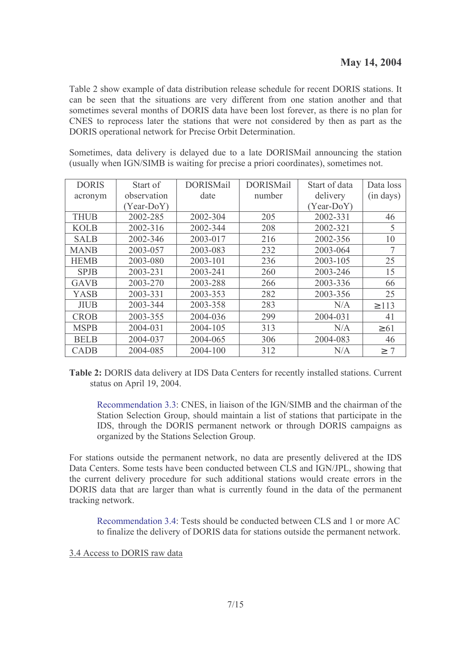Table 2 show example of data distribution release schedule for recent DORIS stations. It can be seen that the situations are very different from one station another and that sometimes several months of DORIS data have been lost forever, as there is no plan for CNES to reprocess later the stations that were not considered by then as part as the DORIS operational network for Precise Orbit Determination.

Sometimes, data delivery is delayed due to a late DORISMail announcing the station (usually when IGN/SIMB is waiting for precise a priori coordinates), sometimes not.

| <b>DORIS</b> | Start of     | <b>DORISMail</b> | <b>DORISMail</b> | Start of data | Data loss  |
|--------------|--------------|------------------|------------------|---------------|------------|
| acronym      | observation  | date             | number           | delivery      | (in days)  |
|              | $(Year-DoY)$ |                  |                  | $(Year-DoY)$  |            |
| <b>THUB</b>  | 2002-285     | 2002-304         | 205              | 2002-331      | 46         |
| <b>KOLB</b>  | 2002-316     | 2002-344         | 208              | 2002-321      | 5          |
| <b>SALB</b>  | 2002-346     | 2003-017         | 216              | 2002-356      | 10         |
| <b>MANB</b>  | 2003-057     | 2003-083         | 232              | 2003-064      | 7          |
| <b>HEMB</b>  | 2003-080     | 2003-101         | 236              | 2003-105      | 25         |
| <b>SPJB</b>  | 2003-231     | 2003-241         | 260              | 2003-246      | 15         |
| <b>GAVB</b>  | 2003-270     | 2003-288         | 266              | 2003-336      | 66         |
| <b>YASB</b>  | 2003-331     | 2003-353         | 282              | 2003-356      | 25         |
| <b>JIUB</b>  | 2003-344     | 2003-358         | 283              | N/A           | $\geq 113$ |
| <b>CROB</b>  | 2003-355     | 2004-036         | 299              | 2004-031      | 41         |
| <b>MSPB</b>  | 2004-031     | 2004-105         | 313              | N/A           | $\geq 61$  |
| <b>BELB</b>  | 2004-037     | 2004-065         | 306              | 2004-083      | 46         |
| <b>CADB</b>  | 2004-085     | 2004-100         | 312              | N/A           | $\geq 7$   |

Table 2: DORIS data delivery at IDS Data Centers for recently installed stations. Current status on April 19, 2004.

Recommendation 3.3: CNES, in liaison of the IGN/SIMB and the chairman of the Station Selection Group, should maintain a list of stations that participate in the IDS, through the DORIS permanent network or through DORIS campaigns as organized by the Stations Selection Group.

For stations outside the permanent network, no data are presently delivered at the IDS Data Centers. Some tests have been conducted between CLS and IGN/JPL, showing that the current delivery procedure for such additional stations would create errors in the DORIS data that are larger than what is currently found in the data of the permanent tracking network.

Recommendation 3.4: Tests should be conducted between CLS and 1 or more AC to finalize the delivery of DORIS data for stations outside the permanent network.

3.4 Access to DORIS raw data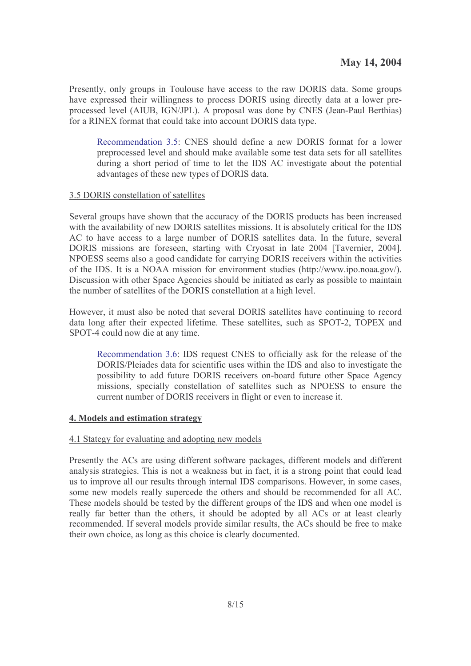Presently, only groups in Toulouse have access to the raw DORIS data. Some groups have expressed their willingness to process DORIS using directly data at a lower preprocessed level (AIUB, IGN/JPL). A proposal was done by CNES (Jean-Paul Berthias) for a RINEX format that could take into account DORIS data type.

Recommendation 3.5: CNES should define a new DORIS format for a lower preprocessed level and should make available some test data sets for all satellites during a short period of time to let the IDS AC investigate about the potential advantages of these new types of DORIS data.

# 3.5 DORIS constellation of satellites

Several groups have shown that the accuracy of the DORIS products has been increased with the availability of new DORIS satellites missions. It is absolutely critical for the IDS AC to have access to a large number of DORIS satellites data. In the future, several DORIS missions are foreseen, starting with Cryosat in late 2004 [Tavernier, 2004]. NPOESS seems also a good candidate for carrying DORIS receivers within the activities of the IDS. It is a NOAA mission for environment studies (http://www.ipo.noaa.gov/). Discussion with other Space Agencies should be initiated as early as possible to maintain the number of satellites of the DORIS constellation at a high level.

However, it must also be noted that several DORIS satellites have continuing to record data long after their expected lifetime. These satellites, such as SPOT-2, TOPEX and SPOT-4 could now die at any time.

Recommendation 3.6: IDS request CNES to officially ask for the release of the DORIS/Pleiades data for scientific uses within the IDS and also to investigate the possibility to add future DORIS receivers on-board future other Space Agency missions, specially constellation of satellites such as NPOESS to ensure the current number of DORIS receivers in flight or even to increase it.

# 4. Models and estimation strategy

# 4.1 Stategy for evaluating and adopting new models

Presently the ACs are using different software packages, different models and different analysis strategies. This is not a weakness but in fact, it is a strong point that could lead us to improve all our results through internal IDS comparisons. However, in some cases, some new models really supercede the others and should be recommended for all AC. These models should be tested by the different groups of the IDS and when one model is really far better than the others, it should be adopted by all ACs or at least clearly recommended. If several models provide similar results, the ACs should be free to make their own choice, as long as this choice is clearly documented.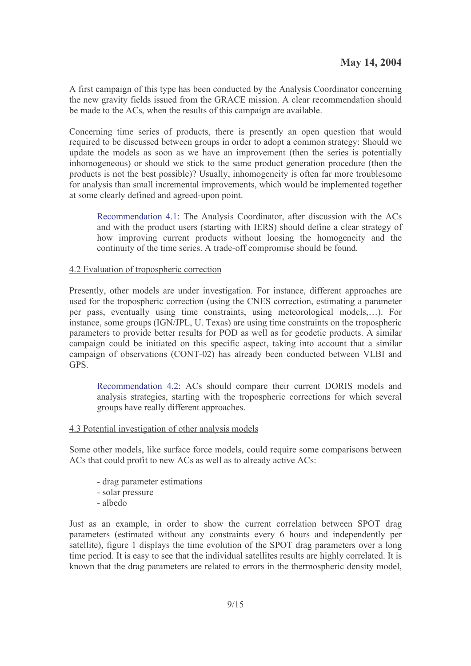A first campaign of this type has been conducted by the Analysis Coordinator concerning the new gravity fields issued from the GRACE mission. A clear recommendation should be made to the ACs, when the results of this campaign are available.

Concerning time series of products, there is presently an open question that would required to be discussed between groups in order to adopt a common strategy: Should we update the models as soon as we have an improvement (then the series is potentially inhomogeneous) or should we stick to the same product generation procedure (then the products is not the best possible)? Usually, inhomogeneity is often far more troublesome for analysis than small incremental improvements, which would be implemented together at some clearly defined and agreed-upon point.

Recommendation 4.1: The Analysis Coordinator, after discussion with the ACs and with the product users (starting with IERS) should define a clear strategy of how improving current products without loosing the homogeneity and the continuity of the time series. A trade-off compromise should be found.

# 4.2 Evaluation of tropospheric correction

Presently, other models are under investigation. For instance, different approaches are used for the tropospheric correction (using the CNES correction, estimating a parameter per pass, eventually using time constraints, using meteorological models,...). For instance, some groups (IGN/JPL, U. Texas) are using time constraints on the tropospheric parameters to provide better results for POD as well as for geodetic products. A similar campaign could be initiated on this specific aspect, taking into account that a similar campaign of observations (CONT-02) has already been conducted between VLBI and GPS.

Recommendation 4.2: ACs should compare their current DORIS models and analysis strategies, starting with the tropospheric corrections for which several groups have really different approaches.

# 4.3 Potential investigation of other analysis models

Some other models, like surface force models, could require some comparisons between ACs that could profit to new ACs as well as to already active ACs:

- drag parameter estimations
- solar pressure
- $-$ albedo

Just as an example, in order to show the current correlation between SPOT drag parameters (estimated without any constraints every 6 hours and independently per satellite), figure 1 displays the time evolution of the SPOT drag parameters over a long time period. It is easy to see that the individual satellites results are highly correlated. It is known that the drag parameters are related to errors in the thermospheric density model,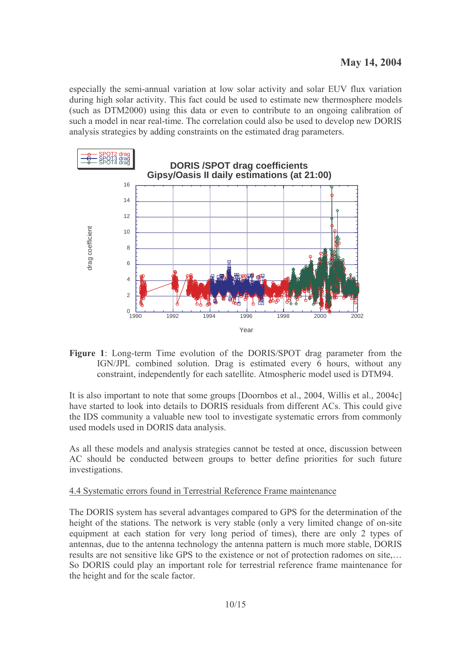especially the semi-annual variation at low solar activity and solar EUV flux variation during high solar activity. This fact could be used to estimate new thermosphere models (such as DTM2000) using this data or even to contribute to an ongoing calibration of such a model in near real-time. The correlation could also be used to develop new DORIS analysis strategies by adding constraints on the estimated drag parameters.



Figure 1: Long-term Time evolution of the DORIS/SPOT drag parameter from the IGN/JPL combined solution. Drag is estimated every 6 hours, without any constraint, independently for each satellite. Atmospheric model used is DTM94.

It is also important to note that some groups [Doornbos et al., 2004, Willis et al., 2004c] have started to look into details to DORIS residuals from different ACs. This could give the IDS community a valuable new tool to investigate systematic errors from commonly used models used in DORIS data analysis.

As all these models and analysis strategies cannot be tested at once, discussion between AC should be conducted between groups to better define priorities for such future investigations.

# 4.4 Systematic errors found in Terrestrial Reference Frame maintenance

The DORIS system has several advantages compared to GPS for the determination of the height of the stations. The network is very stable (only a very limited change of on-site equipment at each station for very long period of times), there are only 2 types of antennas, due to the antenna technology the antenna pattern is much more stable, DORIS results are not sensitive like GPS to the existence or not of protection radomes on site.... So DORIS could play an important role for terrestrial reference frame maintenance for the height and for the scale factor.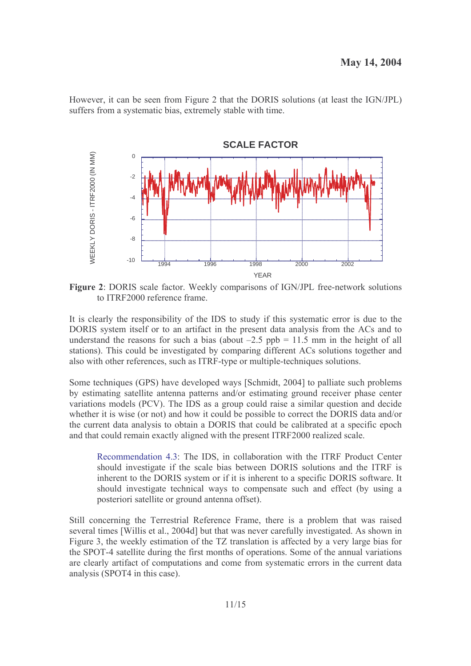However, it can be seen from Figure 2 that the DORIS solutions (at least the IGN/JPL) suffers from a systematic bias, extremely stable with time.



Figure 2: DORIS scale factor. Weekly comparisons of IGN/JPL free-network solutions to ITRF2000 reference frame.

It is clearly the responsibility of the IDS to study if this systematic error is due to the DORIS system itself or to an artifact in the present data analysis from the ACs and to understand the reasons for such a bias (about  $-2.5$  ppb = 11.5 mm in the height of all stations). This could be investigated by comparing different ACs solutions together and also with other references, such as ITRF-type or multiple-techniques solutions.

Some techniques (GPS) have developed ways [Schmidt, 2004] to palliate such problems by estimating satellite antenna patterns and/or estimating ground receiver phase center variations models (PCV). The IDS as a group could raise a similar question and decide whether it is wise (or not) and how it could be possible to correct the DORIS data and/or the current data analysis to obtain a DORIS that could be calibrated at a specific epoch and that could remain exactly aligned with the present ITRF2000 realized scale.

Recommendation 4.3: The IDS, in collaboration with the ITRF Product Center should investigate if the scale bias between DORIS solutions and the ITRF is inherent to the DORIS system or if it is inherent to a specific DORIS software. It should investigate technical ways to compensate such and effect (by using a posteriori satellite or ground antenna offset).

Still concerning the Terrestrial Reference Frame, there is a problem that was raised several times [Willis et al., 2004d] but that was never carefully investigated. As shown in Figure 3, the weekly estimation of the TZ translation is affected by a very large bias for the SPOT-4 satellite during the first months of operations. Some of the annual variations are clearly artifact of computations and come from systematic errors in the current data analysis (SPOT4 in this case).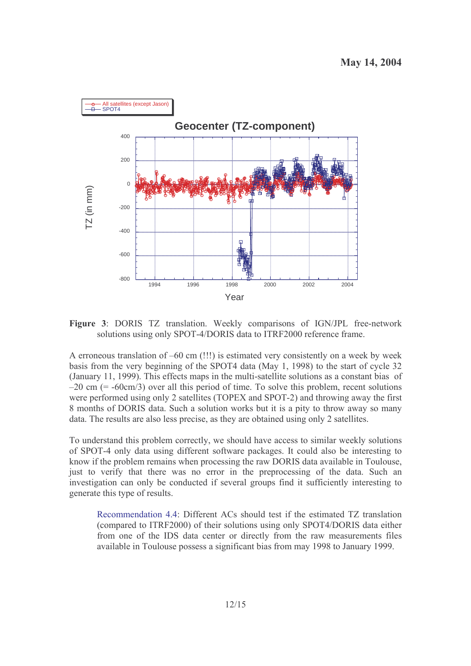

Figure 3: DORIS TZ translation. Weekly comparisons of IGN/JPL free-network solutions using only SPOT-4/DORIS data to ITRF2000 reference frame.

A erroneous translation of  $-60$  cm (!!!) is estimated very consistently on a week by week basis from the very beginning of the SPOT4 data (May 1, 1998) to the start of cycle 32 (January 11, 1999). This effects maps in the multi-satellite solutions as a constant bias of  $-20$  cm (=  $-60$ cm/3) over all this period of time. To solve this problem, recent solutions were performed using only 2 satellites (TOPEX and SPOT-2) and throwing away the first 8 months of DORIS data. Such a solution works but it is a pity to throw away so many data. The results are also less precise, as they are obtained using only 2 satellites.

To understand this problem correctly, we should have access to similar weekly solutions of SPOT-4 only data using different software packages. It could also be interesting to know if the problem remains when processing the raw DORIS data available in Toulouse, just to verify that there was no error in the preprocessing of the data. Such an investigation can only be conducted if several groups find it sufficiently interesting to generate this type of results.

Recommendation 4.4: Different ACs should test if the estimated TZ translation (compared to ITRF2000) of their solutions using only SPOT4/DORIS data either from one of the IDS data center or directly from the raw measurements files available in Toulouse possess a significant bias from may 1998 to January 1999.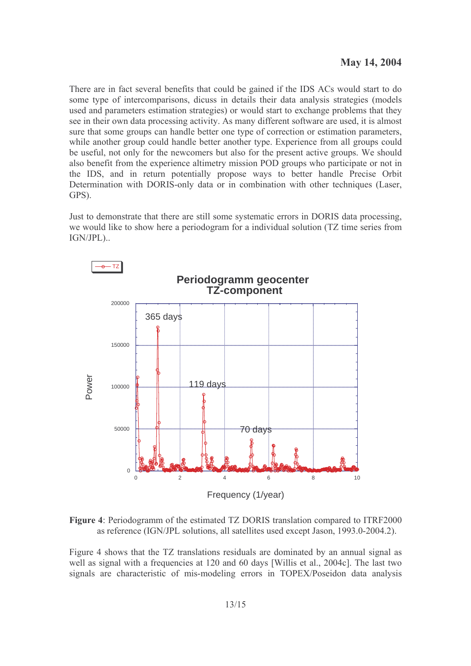There are in fact several benefits that could be gained if the IDS ACs would start to do some type of intercomparisons, dicuss in details their data analysis strategies (models used and parameters estimation strategies) or would start to exchange problems that they see in their own data processing activity. As many different software are used, it is almost sure that some groups can handle better one type of correction or estimation parameters, while another group could handle better another type. Experience from all groups could be useful, not only for the newcomers but also for the present active groups. We should also benefit from the experience altimetry mission POD groups who participate or not in the IDS, and in return potentially propose ways to better handle Precise Orbit Determination with DORIS-only data or in combination with other techniques (Laser, GPS).

Just to demonstrate that there are still some systematic errors in DORIS data processing, we would like to show here a periodogram for a individual solution (TZ time series from IGN/JPL)...



Figure 4: Periodogramm of the estimated TZ DORIS translation compared to ITRF2000 as reference (IGN/JPL solutions, all satellites used except Jason, 1993.0-2004.2).

Figure 4 shows that the TZ translations residuals are dominated by an annual signal as well as signal with a frequencies at 120 and 60 days [Willis et al., 2004c]. The last two signals are characteristic of mis-modeling errors in TOPEX/Poseidon data analysis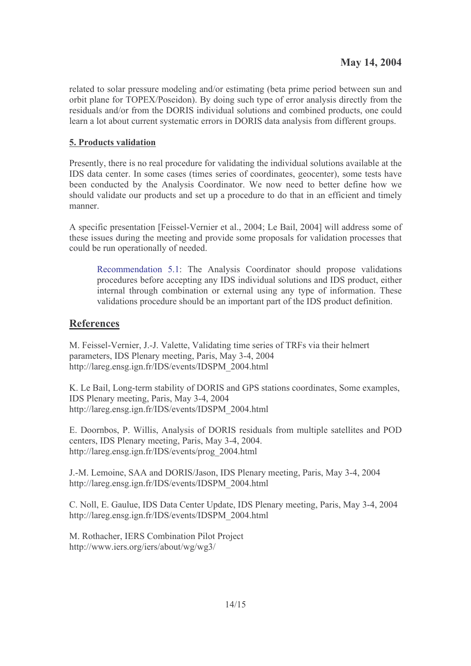related to solar pressure modeling and/or estimating (beta prime period between sun and orbit plane for TOPEX/Poseidon). By doing such type of error analysis directly from the residuals and/or from the DORIS individual solutions and combined products, one could learn a lot about current systematic errors in DORIS data analysis from different groups.

# **5. Products validation**

Presently, there is no real procedure for validating the individual solutions available at the IDS data center. In some cases (times series of coordinates, geocenter), some tests have been conducted by the Analysis Coordinator. We now need to better define how we should validate our products and set up a procedure to do that in an efficient and timely manner

A specific presentation [Feissel-Vernier et al., 2004; Le Bail, 2004] will address some of these issues during the meeting and provide some proposals for validation processes that could be run operationally of needed.

Recommendation 5.1: The Analysis Coordinator should propose validations procedures before accepting any IDS individual solutions and IDS product, either internal through combination or external using any type of information. These validations procedure should be an important part of the IDS product definition.

# **References**

M. Feissel-Vernier, J.-J. Valette, Validating time series of TRFs via their helmert parameters, IDS Plenary meeting, Paris, May 3-4, 2004 http://lareg.ensg.ign.fr/IDS/events/IDSPM 2004.html

K. Le Bail, Long-term stability of DORIS and GPS stations coordinates. Some examples, IDS Plenary meeting, Paris, May 3-4, 2004 http://lareg.ensg.ign.fr/IDS/events/IDSPM 2004.html

E. Doornbos, P. Willis, Analysis of DORIS residuals from multiple satellites and POD centers, IDS Plenary meeting, Paris, May 3-4, 2004. http://lareg.ensg.ign.fr/IDS/events/prog\_2004.html

J.-M. Lemoine, SAA and DORIS/Jason, IDS Plenary meeting, Paris, May 3-4, 2004 http://lareg.ensg.ign.fr/IDS/events/IDSPM 2004.html

C. Noll, E. Gaulue, IDS Data Center Update, IDS Plenary meeting, Paris, May 3-4, 2004 http://lareg.ensg.ign.fr/IDS/events/IDSPM 2004.html

M. Rothacher, IERS Combination Pilot Project http://www.iers.org/iers/about/wg/wg3/